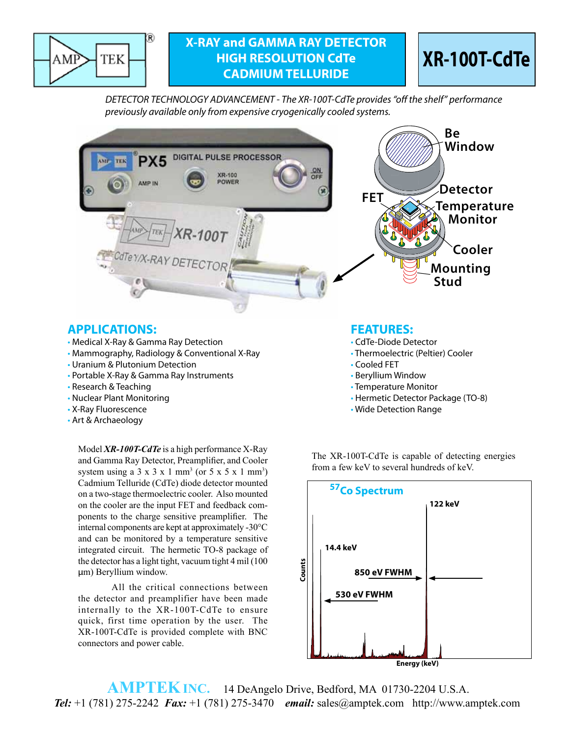

## **X-RAY and GAMMA RAY DETECTOR HIGH RESOLUTION CdTe CADMIUM TELLURIDE**



*DETECTOR TECHNOLOGY ADVANCEMENT - The XR-100T-CdTe provides "off the shelf" performance previously available only from expensive cryogenically cooled systems.*



### **APPLICATIONS: FEATURES:**

- Medical X-Ray & Gamma Ray Detection  **Called Accord Called Control** CdTe-Diode Detector
- Mammography, Radiology & Conventional X-Ray  **Thermoelectric (Peltier) Cooler**
- Uranium & Plutonium Detection Cooled FET
- Portable X-Ray & Gamma Ray Instruments Beryllium Window
- 
- 
- 
- Art & Archaeology

Model *XR-100T-CdTe* is a high performance X-Ray and Gamma Ray Detector, Preamplifier, and Cooler system using a  $3 \times 3 \times 1$  mm<sup>3</sup> (or  $5 \times 5 \times 1$  mm<sup>3</sup>) Cadmium Telluride (CdTe) diode detector mounted on a two-stage thermoelectric cooler. Also mounted on the cooler are the input FET and feedback components to the charge sensitive preamplifier. The internal components are kept at approximately -30°C and can be monitored by a temperature sensitive integrated circuit. The hermetic TO‑8 package of the detector has a light tight, vacuum tight 4 mil (100 µm) Beryllium window.

All the critical connections between the detector and preamplifier have been made internally to the XR-100T-CdTe to ensure quick, first time operation by the user. The XR-100T-CdTe is provided complete with BNC connectors and power cable.

- 
- 
- 
- 
- Research & Teaching Temperature Monitor Temperature Monitor
- Nuclear Plant Monitoring extending the state of the state of the Hermetic Detector Package (TO-8)
- X-Ray Fluorescence The Control of the Control of the Wide Detection Range Wide Detection Range

The XR-100T-CdTe is capable of detecting energies from a few keV to several hundreds of keV.



 **AMPTEKINC.** 14 DeAngelo Drive, Bedford, MA 01730-2204 U.S.A.  *Tel:* +1 (781) 275-2242 *Fax:* +1 (781) 275-3470 *email:* sales@amptek.com http://www.amptek.com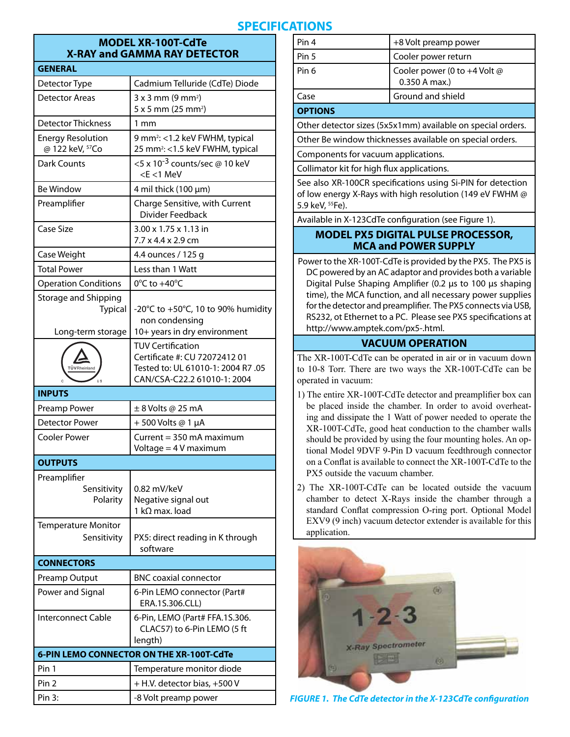# **SPECIFICATIONS**

#### **MODEL XR-100T-CdTe X-RAY and GAMMA RAY DETECTOR**

| <b>GENERAL</b>                                              |                                                                                                                                |
|-------------------------------------------------------------|--------------------------------------------------------------------------------------------------------------------------------|
| Detector Type                                               | Cadmium Telluride (CdTe) Diode                                                                                                 |
| <b>Detector Areas</b>                                       | $3x3$ mm (9 mm <sup>2</sup> )<br>5 x 5 mm (25 mm <sup>2</sup> )                                                                |
| <b>Detector Thickness</b>                                   | $1 \text{ mm}$                                                                                                                 |
| <b>Energy Resolution</b><br>@ 122 keV, 57Co                 | 9 mm <sup>2</sup> : <1.2 keV FWHM, typical<br>25 mm <sup>2</sup> : <1.5 keV FWHM, typical                                      |
| <b>Dark Counts</b>                                          | <5 x 10 <sup>-3</sup> counts/sec @ 10 keV<br>$< E < 1$ MeV                                                                     |
| <b>Be Window</b>                                            | 4 mil thick $(100 \mu m)$                                                                                                      |
| Preamplifier                                                | Charge Sensitive, with Current<br>Divider Feedback                                                                             |
| Case Size                                                   | 3.00 x 1.75 x 1.13 in<br>7.7 x 4.4 x 2.9 cm                                                                                    |
| Case Weight                                                 | 4.4 ounces / 125 g                                                                                                             |
| <b>Total Power</b>                                          | Less than 1 Watt                                                                                                               |
| <b>Operation Conditions</b>                                 | $0^{\circ}$ C to +40 $^{\circ}$ C                                                                                              |
| Storage and Shipping<br><b>Typical</b><br>Long-term storage | -20°C to +50°C, 10 to 90% humidity<br>non condensing<br>10+ years in dry environment                                           |
| <b>TÜVRheinland</b><br>U S                                  | <b>TUV Certification</b><br>Certificate #: CU 72072412 01<br>Tested to: UL 61010-1: 2004 R7 .05<br>CAN/CSA-C22.2 61010-1: 2004 |
| <b>INPUTS</b>                                               |                                                                                                                                |
| Preamp Power                                                | $± 8$ Volts @ 25 mA                                                                                                            |
|                                                             |                                                                                                                                |
| <b>Detector Power</b>                                       | +500 Volts @ 1 µA                                                                                                              |
| <b>Cooler Power</b>                                         | Current = $350$ mA maximum<br>Voltage = 4 V maximum                                                                            |
| <b>OUTPUTS</b>                                              |                                                                                                                                |
| Preamplifier<br>Sensitivity<br>Polarity                     | 0.82 mV/keV<br>Negative signal out<br>1 k $\Omega$ max. load                                                                   |
| <b>Temperature Monitor</b><br>Sensitivity                   | PX5: direct reading in K through<br>software                                                                                   |
| <b>CONNECTORS</b>                                           |                                                                                                                                |
| Preamp Output                                               | <b>BNC coaxial connector</b>                                                                                                   |
| Power and Signal                                            | 6-Pin LEMO connector (Part#<br>ERA.1S.306.CLL)                                                                                 |
| Interconnect Cable                                          | 6-Pin, LEMO (Part# FFA.1S.306.<br>CLAC57) to 6-Pin LEMO (5 ft<br>length)                                                       |
|                                                             | 6-PIN LEMO CONNECTOR ON THE XR-100T-CdTe                                                                                       |
| Pin 1                                                       | Temperature monitor diode                                                                                                      |
| Pin <sub>2</sub>                                            | + H.V. detector bias, +500 V                                                                                                   |

| Ground and shield                             |
|-----------------------------------------------|
| Cooler power (0 to +4 Volt @<br>0.350 A max.) |
| Cooler power return                           |
| +8 Volt preamp power                          |
|                                               |

**OPTIONS**

Other detector sizes (5x5x1mm) available on special orders.

Other Be window thicknesses available on special orders.

Components for vacuum applications.

Collimator kit for high flux applications.

See also XR-100CR specifications using Si-PIN for detection of low energy X-Rays with high resolution (149 eV FWHM @ 5.9 keV, 55Fe).

Available in X-123CdTe configuration (see Figure 1).

#### **MODEL PX5 DIGITAL PULSE PROCESSOR, MCA and POWER SUPPLY**

Power to the XR-100T-CdTe is provided by the PX5. The PX5 is DC powered by an AC adaptor and provides both a variable Digital Pulse Shaping Amplifier (0.2 μs to 100 μs shaping time), the MCA function, and all necessary power supplies for the detector and preamplifier. The PX5 connects via USB, RS232, ot Ethernet to a PC. Please see PX5 specifications at http://www.amptek.com/px5-.html.

#### **VACUUM OPERATION**

The XR-100T-CdTe can be operated in air or in vacuum down to 10-8 Torr. There are two ways the XR-100T-CdTe can be operated in vacuum:

- 1) The entire XR-100T-CdTe detector and preamplifier box can be placed inside the chamber. In order to avoid overheating and dissipate the 1 Watt of power needed to operate the XR-100T-CdTe, good heat conduction to the chamber walls should be provided by using the four mounting holes. An optional Model 9DVF 9-Pin D vacuum feedthrough connector on a Conflat is available to connect the XR-100T-CdTe to the PX5 outside the vacuum chamber.
- 2) The XR-100T-CdTe can be located outside the vacuum chamber to detect X-Rays inside the chamber through a standard Conflat compression O-ring port. Optional Model EXV9 (9 inch) vacuum detector extender is available for this application.



*FIGURE 1. The CdTe detector in the X-123CdTe configuration*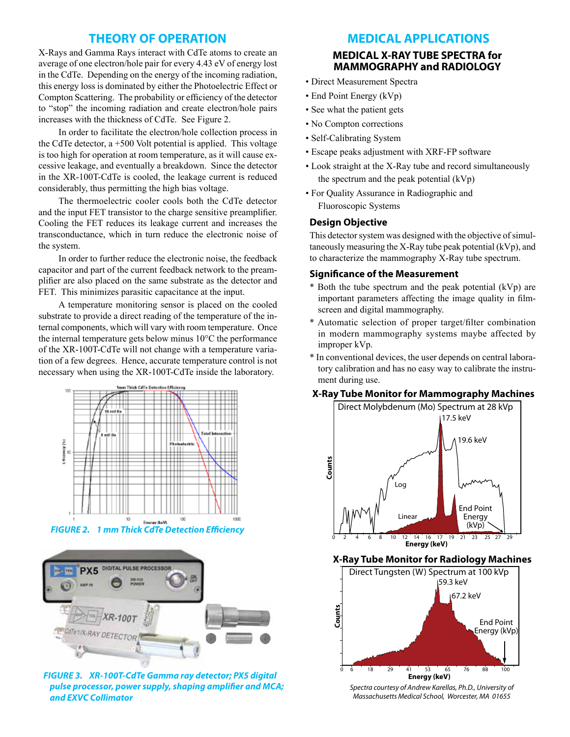#### **THEORY OF OPERATION**

X-Rays and Gamma Rays interact with CdTe atoms to create an average of one electron/hole pair for every 4.43 eV of energy lost in the CdTe. Depending on the energy of the incoming radiation, this energy loss is dominated by either the Photoelectric Effect or Compton Scattering. The probability or efficiency of the detector to "stop" the incoming radiation and create electron/hole pairs increases with the thickness of CdTe. See Figure 2.

In order to facilitate the electron/hole collection process in the CdTe detector, a +500 Volt potential is applied. This voltage is too high for operation at room temperature, as it will cause excessive leakage, and eventually a breakdown. Since the detector in the XR-100T-CdTe is cooled, the leakage current is reduced considerably, thus permitting the high bias voltage.

The thermoelectric cooler cools both the CdTe detector and the input FET transistor to the charge sensitive preamplifier. Cooling the FET reduces its leakage current and increases the transconductance, which in turn reduce the electronic noise of the system.

In order to further reduce the electronic noise, the feedback capacitor and part of the current feedback network to the preamplifier are also placed on the same substrate as the detector and FET. This minimizes parasitic capacitance at the input.

A temperature monitoring sensor is placed on the cooled substrate to provide a direct reading of the temperature of the internal components, which will vary with room temperature. Once the internal temperature gets below minus 10°C the performance of the XR-100T-CdTe will not change with a temperature variation of a few degrees. Hence, accurate temperature control is not necessary when using the XR-100T-CdTe inside the laboratory.



*FIGURE 2. 1 mm Thick CdTe Detection Efficiency*



*FIGURE 3. XR-100T-CdTe Gamma ray detector; PX5 digital pulse processor, power supply, shaping amplifier and MCA; and EXVC Collimator*

#### **MEDICAL APPLICATIONS**

#### **MEDICAL X-RAY TUBE SPECTRA for MAMMOGRAPHY and RADIOLOGY**

- Direct Measurement Spectra
- End Point Energy (kVp)
- See what the patient gets
- No Compton corrections
- Self-Calibrating System
- Escape peaks adjustment with XRF-FP software
- Look straight at the X-Ray tube and record simultaneously the spectrum and the peak potential (kVp)
- For Quality Assurance in Radiographic and Fluoroscopic Systems

#### **Design Objective**

This detector system was designed with the objective of simultaneously measuring the X-Ray tube peak potential (kVp), and to characterize the mammography X-Ray tube spectrum.

#### **Significance of the Measurement**

- \* Both the tube spectrum and the peak potential (kVp) are important parameters affecting the image quality in filmscreen and digital mammography.
- \* Automatic selection of proper target/filter combination in modern mammography systems maybe affected by improper kVp.
- \* In conventional devices, the user depends on central laboratory calibration and has no easy way to calibrate the instrument during use.

#### **X-Ray Tube Monitor for Mammography Machines**



**X-Ray Tube Monitor for Radiology Machines**



*Spectra courtesy of Andrew Karellas, Ph.D., University of Massachusetts Medical School, Worcester, MA 01655*